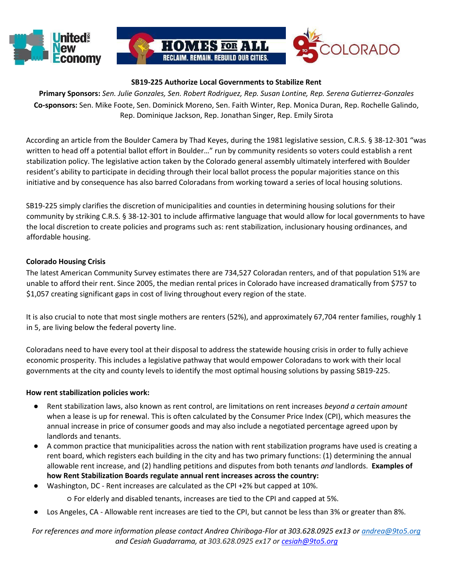



## **SB19-225 Authorize Local Governments to Stabilize Rent**

**Primary Sponsors:** *Sen. Julie Gonzales, Sen. Robert Rodriguez, Rep. Susan Lontine, Rep. Serena Gutierrez-Gonzales* **Co-sponsors:** Sen. Mike Foote, Sen. Dominick Moreno, Sen. Faith Winter, Rep. Monica Duran, Rep. Rochelle Galindo, Rep. Dominique Jackson, Rep. Jonathan Singer, Rep. Emily Sirota

According an article from the Boulder Camera by Thad Keyes, during the 1981 legislative session, C.R.S[. § 38-12-301](https://law.justia.com/citations.html) ["](https://law.justia.com/citations.html)was written to head off a potential ballot effort in Boulder…" run by community residents so voters could establish a rent stabilization policy. The legislative action taken by the Colorado general assembly ultimately interfered with Boulder resident's ability to participate in deciding through their local ballot process the popular majorities stance on this initiative and by consequence has also barred Coloradans from working toward a series of local housing solutions.

SB19-225 simply clarifies the discretion of municipalities and counties in determining housing solutions for their community by striking C.R.S. [§ 38-12-301](https://law.justia.com/citations.html) [to](https://law.justia.com/citations.html) include affirmative language that would allow for local governments to have the local discretion to create policies and programs such as: rent stabilization, inclusionary housing ordinances, and affordable housing.

## **Colorado Housing Crisis**

The latest American Community Survey estimates there are 734,527 Coloradan renters, and of that population 51% are unable to afford their rent. Since 2005, the median rental prices in Colorado have increased dramatically from \$757 to \$1,057 creating significant gaps in cost of living throughout every region of the state.

It is also crucial to note that most single mothers are renters (52%), and approximately 67,704 renter families, roughly 1 in 5, are living below the federal poverty line.

Coloradans need to have every tool at their disposal to address the statewide housing crisis in order to fully achieve economic prosperity. This includes a legislative pathway that would empower Coloradans to work with their local governments at the city and county levels to identify the most optimal housing solutions by passing SB19-225.

## **How rent stabilization policies work:**

- Rent stabilization laws, also known as rent control, are limitations on rent increases *beyond a certain amount* when a lease is up for renewal. This is often calculated by the Consumer Price Index (CPI), which measures the annual increase in price of consumer goods and may also include a negotiated percentage agreed upon by landlords and tenants.
- A common practice that municipalities across the nation with rent stabilization programs have used is creating a rent board, which registers each building in the city and has two primary functions: (1) determining the annual allowable rent increase, and (2) handling petitions and disputes from both tenants *and* landlords. **Examples of how Rent Stabilization Boards regulate annual rent increases across the country:**
- Washington, DC Rent increases are calculated as the CPI +2% but capped at 10%.

○ For elderly and disabled tenants, increases are tied to the CPI and capped at 5%.

Los Angeles, CA - Allowable rent increases are tied to the CPI, but cannot be less than 3% or greater than 8%.

*For references and more information please contact Andrea Chiriboga-Flor at 303.628.0925 ex13 or andrea@9to5.org and Cesiah Guadarrama, at 303.628.0925 ex17 or cesiah@9to5.org*